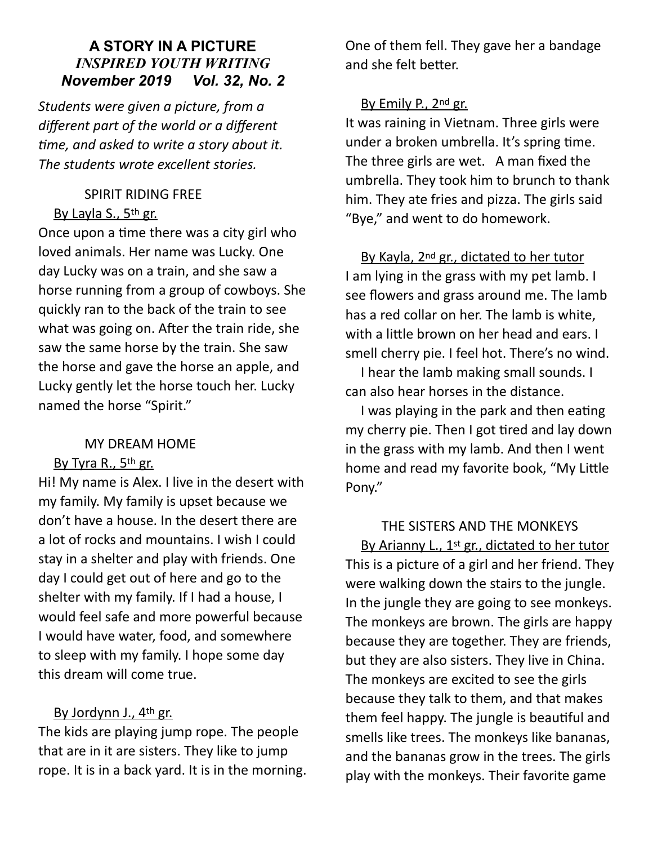## **A STORY IN A PICTURE**  *INSPIRED YOUTH WRITING November 2019 Vol. 32, No. 2*

*Students were given a picture, from a different part of the world or a different 8me, and asked to write a story about it. The students wrote excellent stories.*

# SPIRIT RIDING FREE

# By Layla S., 5<sup>th</sup> gr.

Once upon a time there was a city girl who loved animals. Her name was Lucky. One day Lucky was on a train, and she saw a horse running from a group of cowboys. She quickly ran to the back of the train to see what was going on. After the train ride, she saw the same horse by the train. She saw the horse and gave the horse an apple, and Lucky gently let the horse touch her. Lucky named the horse "Spirit."

## MY DREAM HOME

## By Tyra R., 5th gr.

Hi! My name is Alex. I live in the desert with my family. My family is upset because we don't have a house. In the desert there are a lot of rocks and mountains. I wish I could stay in a shelter and play with friends. One day I could get out of here and go to the shelter with my family. If I had a house, I would feel safe and more powerful because I would have water, food, and somewhere to sleep with my family. I hope some day this dream will come true.

## By Jordynn J., 4th gr.

The kids are playing jump rope. The people that are in it are sisters. They like to jump rope. It is in a back yard. It is in the morning. One of them fell. They gave her a bandage and she felt better.

## By Emily P., 2nd gr.

It was raining in Vietnam. Three girls were under a broken umbrella. It's spring time. The three girls are wet. A man fixed the umbrella. They took him to brunch to thank him. They ate fries and pizza. The girls said "Bye," and went to do homework.

By Kayla, 2nd gr., dictated to her tutor I am lying in the grass with my pet lamb. I see flowers and grass around me. The lamb has a red collar on her. The lamb is white, with a little brown on her head and ears. I smell cherry pie. I feel hot. There's no wind.

 I hear the lamb making small sounds. I can also hear horses in the distance.

I was playing in the park and then eating my cherry pie. Then I got tired and lay down in the grass with my lamb. And then I went home and read my favorite book, "My Little Pony."

THE SISTERS AND THE MONKEYS By Arianny L., 1<sup>st</sup> gr., dictated to her tutor This is a picture of a girl and her friend. They were walking down the stairs to the jungle. In the jungle they are going to see monkeys. The monkeys are brown. The girls are happy because they are together. They are friends, but they are also sisters. They live in China. The monkeys are excited to see the girls because they talk to them, and that makes them feel happy. The jungle is beautiful and smells like trees. The monkeys like bananas, and the bananas grow in the trees. The girls play with the monkeys. Their favorite game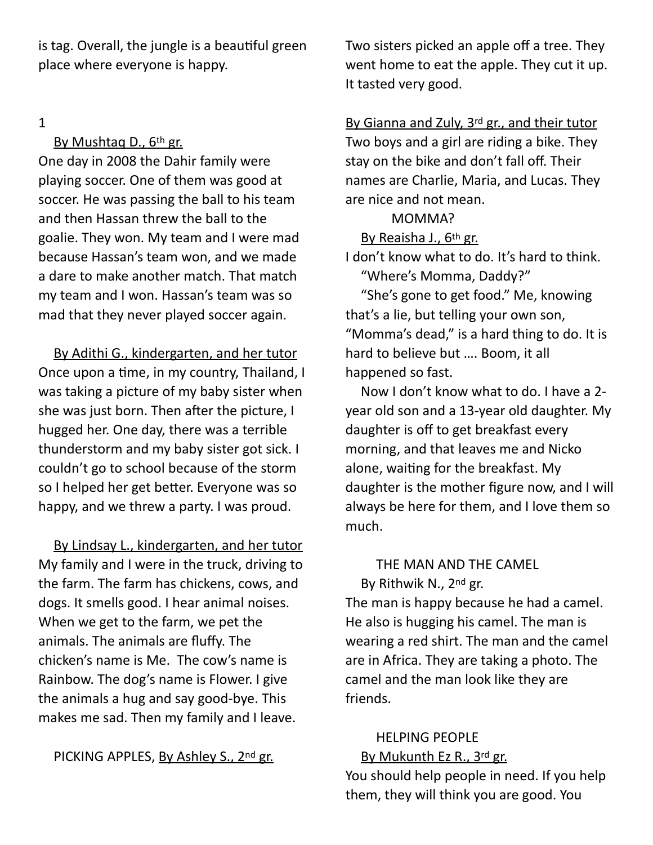is tag. Overall, the jungle is a beautiful green place where everyone is happy.

1

## By Mushtaq D., 6th gr.

One day in 2008 the Dahir family were playing soccer. One of them was good at soccer. He was passing the ball to his team and then Hassan threw the ball to the goalie. They won. My team and I were mad because Hassan's team won, and we made a dare to make another match. That match my team and I won. Hassan's team was so mad that they never played soccer again.

By Adithi G., kindergarten, and her tutor Once upon a time, in my country, Thailand, I was taking a picture of my baby sister when she was just born. Then after the picture, I hugged her. One day, there was a terrible thunderstorm and my baby sister got sick. I couldn't go to school because of the storm so I helped her get better. Everyone was so happy, and we threw a party. I was proud.

By Lindsay L., kindergarten, and her tutor My family and I were in the truck, driving to the farm. The farm has chickens, cows, and dogs. It smells good. I hear animal noises. When we get to the farm, we pet the animals. The animals are fluffy. The chicken's name is Me. The cow's name is Rainbow. The dog's name is Flower. I give the animals a hug and say good-bye. This makes me sad. Then my family and I leave.

## PICKING APPLES, By Ashley S., 2nd gr.

Two sisters picked an apple off a tree. They went home to eat the apple. They cut it up. It tasted very good.

By Gianna and Zuly, 3rd gr., and their tutor Two boys and a girl are riding a bike. They stay on the bike and don't fall off. Their names are Charlie, Maria, and Lucas. They are nice and not mean.

#### MOMMA?

By Reaisha J., 6th gr.

I don't know what to do. It's hard to think. "Where's Momma, Daddy?"

"She's gone to get food." Me, knowing that's a lie, but telling your own son, "Momma's dead," is a hard thing to do. It is hard to believe but …. Boom, it all happened so fast.

Now I don't know what to do. I have a 2 year old son and a 13-year old daughter. My daughter is off to get breakfast every morning, and that leaves me and Nicko alone, waiting for the breakfast. My daughter is the mother figure now, and I will always be here for them, and I love them so much.

## THE MAN AND THE CAMEL

 By Rithwik N., 2nd gr. The man is happy because he had a camel. He also is hugging his camel. The man is wearing a red shirt. The man and the camel are in Africa. They are taking a photo. The camel and the man look like they are friends.

## HELPING PEOPLE

By Mukunth Ez R., 3rd gr. You should help people in need. If you help them, they will think you are good. You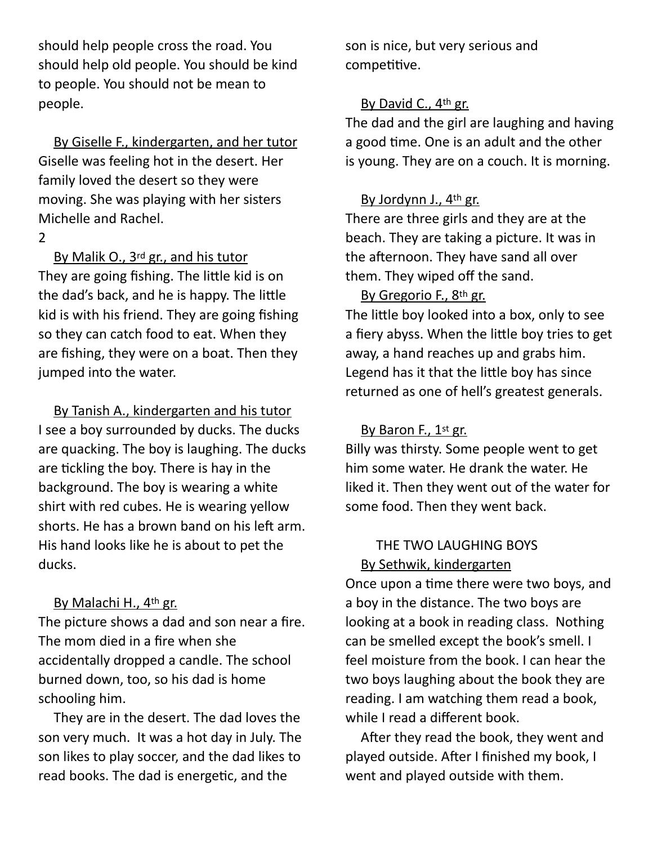should help people cross the road. You should help old people. You should be kind to people. You should not be mean to people.

By Giselle F., kindergarten, and her tutor Giselle was feeling hot in the desert. Her family loved the desert so they were moving. She was playing with her sisters Michelle and Rachel.

2

By Malik O., 3rd gr., and his tutor They are going fishing. The little kid is on the dad's back, and he is happy. The little kid is with his friend. They are going fishing so they can catch food to eat. When they are fishing, they were on a boat. Then they jumped into the water.

By Tanish A., kindergarten and his tutor I see a boy surrounded by ducks. The ducks are quacking. The boy is laughing. The ducks are tickling the boy. There is hay in the background. The boy is wearing a white shirt with red cubes. He is wearing yellow shorts. He has a brown band on his left arm. His hand looks like he is about to pet the ducks.

## By Malachi H., 4th gr.

The picture shows a dad and son near a fire. The mom died in a fire when she accidentally dropped a candle. The school burned down, too, so his dad is home schooling him.

They are in the desert. The dad loves the son very much. It was a hot day in July. The son likes to play soccer, and the dad likes to read books. The dad is energetic, and the

son is nice, but very serious and competitive.

## By David C., 4th gr.

The dad and the girl are laughing and having a good time. One is an adult and the other is young. They are on a couch. It is morning.

## By Jordynn J., 4th gr.

There are three girls and they are at the beach. They are taking a picture. It was in the afternoon. They have sand all over them. They wiped off the sand.

# By Gregorio F., 8th gr.

The little boy looked into a box, only to see a fiery abyss. When the little boy tries to get away, a hand reaches up and grabs him. Legend has it that the little boy has since returned as one of hell's greatest generals.

## By Baron F., 1st gr.

Billy was thirsty. Some people went to get him some water. He drank the water. He liked it. Then they went out of the water for some food. Then they went back.

# THE TWO LAUGHING BOYS By Sethwik, kindergarten

Once upon a time there were two boys, and a boy in the distance. The two boys are looking at a book in reading class. Nothing can be smelled except the book's smell. I feel moisture from the book. I can hear the two boys laughing about the book they are reading. I am watching them read a book, while I read a different book.

After they read the book, they went and played outside. After I finished my book, I went and played outside with them.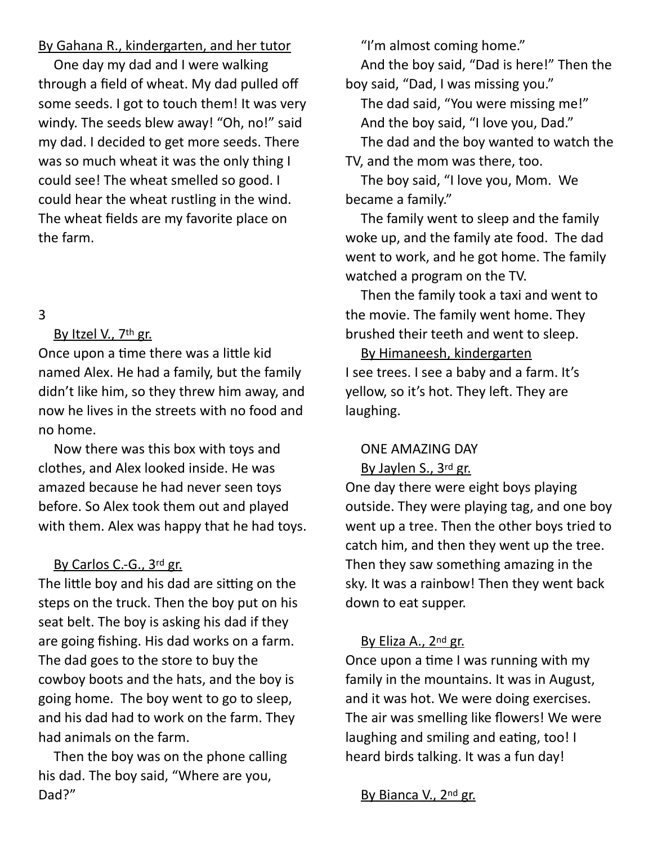By Gahana R., kindergarten, and her tutor

 One day my dad and I were walking through a field of wheat. My dad pulled off some seeds. I got to touch them! It was very windy. The seeds blew away! "Oh, no!" said my dad. I decided to get more seeds. There was so much wheat it was the only thing I could see! The wheat smelled so good. I could hear the wheat rustling in the wind. The wheat fields are my favorite place on the farm.

## 3

## By Itzel V., 7th gr.

Once upon a time there was a little kid named Alex. He had a family, but the family didn't like him, so they threw him away, and now he lives in the streets with no food and no home.

Now there was this box with toys and clothes, and Alex looked inside. He was amazed because he had never seen toys before. So Alex took them out and played with them. Alex was happy that he had toys.

## By Carlos C.-G., 3rd gr.

The little boy and his dad are sitting on the steps on the truck. Then the boy put on his seat belt. The boy is asking his dad if they are going fishing. His dad works on a farm. The dad goes to the store to buy the cowboy boots and the hats, and the boy is going home. The boy went to go to sleep, and his dad had to work on the farm. They had animals on the farm.

 Then the boy was on the phone calling his dad. The boy said, "Where are you, Dad?"

"I'm almost coming home."

 And the boy said, "Dad is here!" Then the boy said, "Dad, I was missing you."

 The dad said, "You were missing me!" And the boy said, "I love you, Dad." The dad and the boy wanted to watch the TV, and the mom was there, too.

 The boy said, "I love you, Mom. We became a family."

 The family went to sleep and the family woke up, and the family ate food. The dad went to work, and he got home. The family watched a program on the TV.

Then the family took a taxi and went to the movie. The family went home. They brushed their teeth and went to sleep.

By Himaneesh, kindergarten I see trees. I see a baby and a farm. It's yellow, so it's hot. They left. They are laughing.

# ONE AMAZING DAY

## By Jaylen S., 3rd gr.

One day there were eight boys playing outside. They were playing tag, and one boy went up a tree. Then the other boys tried to catch him, and then they went up the tree. Then they saw something amazing in the sky. It was a rainbow! Then they went back down to eat supper.

# By Eliza A., 2nd gr.

Once upon a time I was running with my family in the mountains. It was in August, and it was hot. We were doing exercises. The air was smelling like flowers! We were laughing and smiling and eating, too! I heard birds talking. It was a fun day!

By Bianca V., 2nd gr.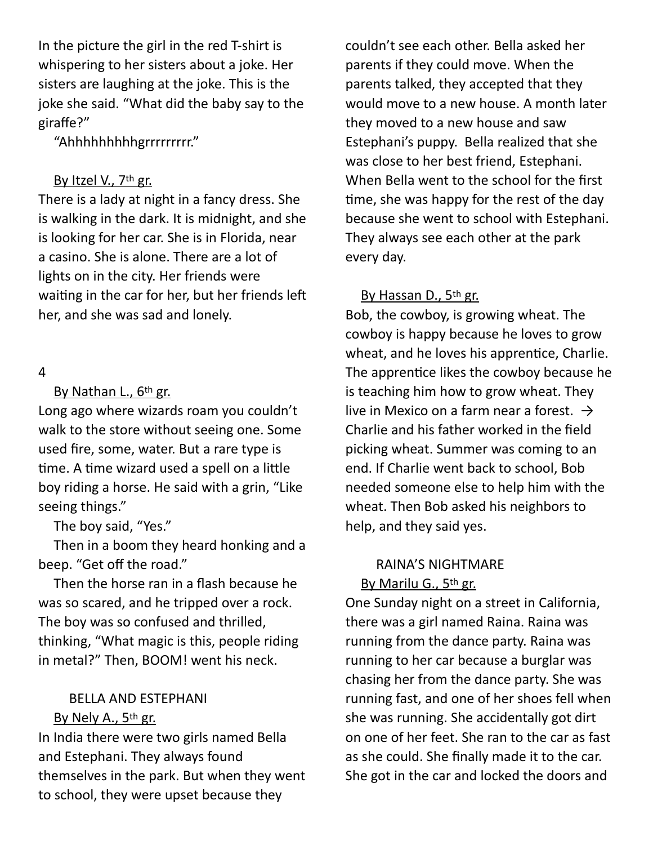In the picture the girl in the red T-shirt is whispering to her sisters about a joke. Her sisters are laughing at the joke. This is the joke she said. "What did the baby say to the giraffe?"

"Ahhhhhhhhhgrrrrrrrrr."

#### By Itzel V., 7th gr.

There is a lady at night in a fancy dress. She is walking in the dark. It is midnight, and she is looking for her car. She is in Florida, near a casino. She is alone. There are a lot of lights on in the city. Her friends were waiting in the car for her, but her friends left her, and she was sad and lonely.

#### 4

#### By Nathan L., 6th gr.

Long ago where wizards roam you couldn't walk to the store without seeing one. Some used fire, some, water. But a rare type is time. A time wizard used a spell on a little boy riding a horse. He said with a grin, "Like seeing things."

The boy said, "Yes."

Then in a boom they heard honking and a beep. "Get off the road."

Then the horse ran in a flash because he was so scared, and he tripped over a rock. The boy was so confused and thrilled, thinking, "What magic is this, people riding in metal?" Then, BOOM! went his neck.

#### BELLA AND ESTEPHANI

#### By Nely A., 5th gr.

In India there were two girls named Bella and Estephani. They always found themselves in the park. But when they went to school, they were upset because they

couldn't see each other. Bella asked her parents if they could move. When the parents talked, they accepted that they would move to a new house. A month later they moved to a new house and saw Estephani's puppy. Bella realized that she was close to her best friend, Estephani. When Bella went to the school for the first time, she was happy for the rest of the day because she went to school with Estephani. They always see each other at the park every day.

#### By Hassan D., 5th gr.

Bob, the cowboy, is growing wheat. The cowboy is happy because he loves to grow wheat, and he loves his apprentice, Charlie. The apprentice likes the cowboy because he is teaching him how to grow wheat. They live in Mexico on a farm near a forest.  $\rightarrow$ Charlie and his father worked in the field picking wheat. Summer was coming to an end. If Charlie went back to school, Bob needed someone else to help him with the wheat. Then Bob asked his neighbors to help, and they said yes.

## RAINA'S NIGHTMARE By Marilu G., 5th gr.

One Sunday night on a street in California, there was a girl named Raina. Raina was running from the dance party. Raina was running to her car because a burglar was chasing her from the dance party. She was running fast, and one of her shoes fell when she was running. She accidentally got dirt on one of her feet. She ran to the car as fast as she could. She finally made it to the car. She got in the car and locked the doors and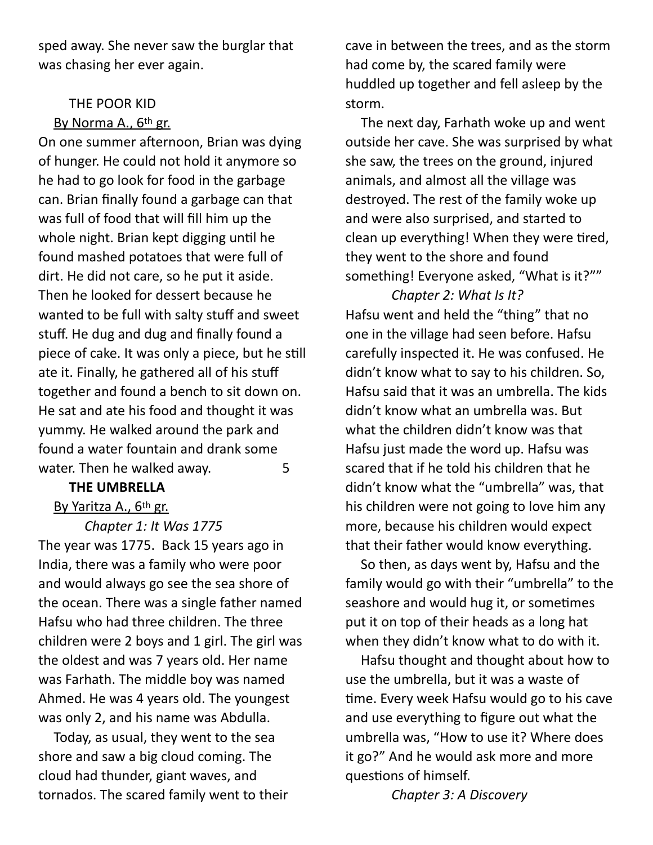sped away. She never saw the burglar that was chasing her ever again.

# THE POOR KID

# By Norma A., 6th gr.

On one summer afternoon, Brian was dying of hunger. He could not hold it anymore so he had to go look for food in the garbage can. Brian finally found a garbage can that was full of food that will fill him up the whole night. Brian kept digging until he found mashed potatoes that were full of dirt. He did not care, so he put it aside. Then he looked for dessert because he wanted to be full with salty stuff and sweet stuff. He dug and dug and finally found a piece of cake. It was only a piece, but he still ate it. Finally, he gathered all of his stuff together and found a bench to sit down on. He sat and ate his food and thought it was yummy. He walked around the park and found a water fountain and drank some water. Then he walked away. 5

## **THE UMBRELLA**

## By Yaritza A., 6th gr.

 *Chapter 1: It Was 1775* The year was 1775. Back 15 years ago in India, there was a family who were poor and would always go see the sea shore of the ocean. There was a single father named Hafsu who had three children. The three children were 2 boys and 1 girl. The girl was the oldest and was 7 years old. Her name was Farhath. The middle boy was named Ahmed. He was 4 years old. The youngest was only 2, and his name was Abdulla.

Today, as usual, they went to the sea shore and saw a big cloud coming. The cloud had thunder, giant waves, and tornados. The scared family went to their cave in between the trees, and as the storm had come by, the scared family were huddled up together and fell asleep by the storm.

The next day, Farhath woke up and went outside her cave. She was surprised by what she saw, the trees on the ground, injured animals, and almost all the village was destroyed. The rest of the family woke up and were also surprised, and started to clean up everything! When they were tired, they went to the shore and found something! Everyone asked, "What is it?""

 *Chapter 2: What Is It?* Hafsu went and held the "thing" that no one in the village had seen before. Hafsu carefully inspected it. He was confused. He didn't know what to say to his children. So, Hafsu said that it was an umbrella. The kids didn't know what an umbrella was. But what the children didn't know was that Hafsu just made the word up. Hafsu was scared that if he told his children that he didn't know what the "umbrella" was, that his children were not going to love him any more, because his children would expect that their father would know everything.

So then, as days went by, Hafsu and the family would go with their "umbrella" to the seashore and would hug it, or sometimes put it on top of their heads as a long hat when they didn't know what to do with it.

Hafsu thought and thought about how to use the umbrella, but it was a waste of time. Every week Hafsu would go to his cave and use everything to figure out what the umbrella was, "How to use it? Where does it go?" And he would ask more and more questions of himself.

*Chapter 3: A Discovery*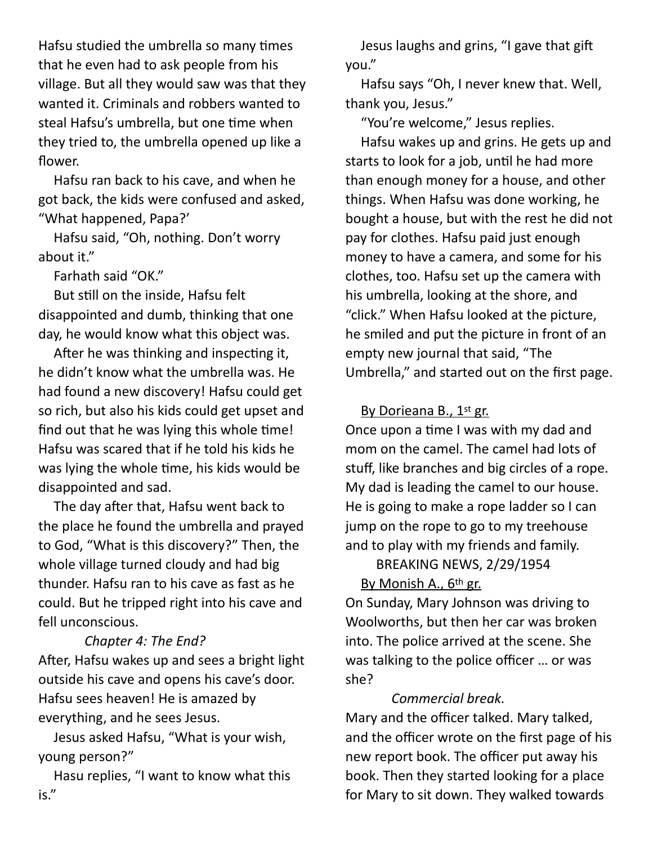Hafsu studied the umbrella so many times that he even had to ask people from his village. But all they would saw was that they wanted it. Criminals and robbers wanted to steal Hafsu's umbrella, but one time when they tried to, the umbrella opened up like a flower.

Hafsu ran back to his cave, and when he got back, the kids were confused and asked, "What happened, Papa?'

Hafsu said, "Oh, nothing. Don't worry about it."

Farhath said "OK."

But still on the inside, Hafsu felt disappointed and dumb, thinking that one day, he would know what this object was.

After he was thinking and inspecting it, he didn't know what the umbrella was. He had found a new discovery! Hafsu could get so rich, but also his kids could get upset and find out that he was lying this whole time! Hafsu was scared that if he told his kids he was lying the whole time, his kids would be disappointed and sad.

The day after that, Hafsu went back to the place he found the umbrella and prayed to God, "What is this discovery?" Then, the whole village turned cloudy and had big thunder. Hafsu ran to his cave as fast as he could. But he tripped right into his cave and fell unconscious.

## *Chapter 4: The End?*

After, Hafsu wakes up and sees a bright light outside his cave and opens his cave's door. Hafsu sees heaven! He is amazed by everything, and he sees Jesus.

Jesus asked Hafsu, "What is your wish, young person?"

Hasu replies, "I want to know what this is."

Jesus laughs and grins, "I gave that gift you."

Hafsu says "Oh, I never knew that. Well, thank you, Jesus."

"You're welcome," Jesus replies.

Hafsu wakes up and grins. He gets up and starts to look for a job, until he had more than enough money for a house, and other things. When Hafsu was done working, he bought a house, but with the rest he did not pay for clothes. Hafsu paid just enough money to have a camera, and some for his clothes, too. Hafsu set up the camera with his umbrella, looking at the shore, and "click." When Hafsu looked at the picture, he smiled and put the picture in front of an empty new journal that said, "The Umbrella," and started out on the first page.

## By Dorieana B., 1st gr.

Once upon a time I was with my dad and mom on the camel. The camel had lots of stuff, like branches and big circles of a rope. My dad is leading the camel to our house. He is going to make a rope ladder so I can jump on the rope to go to my treehouse and to play with my friends and family.

BREAKING NEWS, 2/29/1954

By Monish A., 6th gr.

On Sunday, Mary Johnson was driving to Woolworths, but then her car was broken into. The police arrived at the scene. She was talking to the police officer … or was she?

## *Commercial break.*

Mary and the officer talked. Mary talked, and the officer wrote on the first page of his new report book. The officer put away his book. Then they started looking for a place for Mary to sit down. They walked towards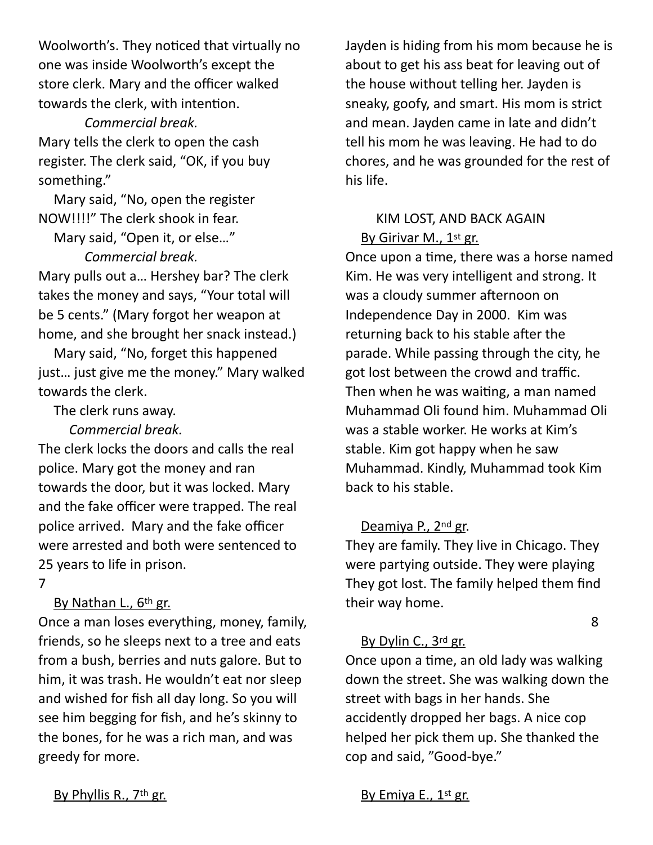Woolworth's. They noticed that virtually no one was inside Woolworth's except the store clerk. Mary and the officer walked towards the clerk, with intention.

#### *Commercial break.*

Mary tells the clerk to open the cash register. The clerk said, "OK, if you buy something."

Mary said, "No, open the register NOW!!!!" The clerk shook in fear.

 Mary said, "Open it, or else…" *Commercial break.*

Mary pulls out a… Hershey bar? The clerk takes the money and says, "Your total will be 5 cents." (Mary forgot her weapon at home, and she brought her snack instead.)

 Mary said, "No, forget this happened just… just give me the money." Mary walked towards the clerk.

The clerk runs away.

*Commercial break.*

The clerk locks the doors and calls the real police. Mary got the money and ran towards the door, but it was locked. Mary and the fake officer were trapped. The real police arrived. Mary and the fake officer were arrested and both were sentenced to 25 years to life in prison.

7

## By Nathan L., 6<sup>th</sup> gr.

Once a man loses everything, money, family, friends, so he sleeps next to a tree and eats from a bush, berries and nuts galore. But to him, it was trash. He wouldn't eat nor sleep and wished for fish all day long. So you will see him begging for fish, and he's skinny to the bones, for he was a rich man, and was greedy for more.

Jayden is hiding from his mom because he is about to get his ass beat for leaving out of the house without telling her. Jayden is sneaky, goofy, and smart. His mom is strict and mean. Jayden came in late and didn't tell his mom he was leaving. He had to do chores, and he was grounded for the rest of his life.

# KIM LOST, AND BACK AGAIN By Girivar M., 1st gr.

Once upon a time, there was a horse named Kim. He was very intelligent and strong. It was a cloudy summer afternoon on Independence Day in 2000. Kim was returning back to his stable after the parade. While passing through the city, he got lost between the crowd and traffic. Then when he was waiting, a man named Muhammad Oli found him. Muhammad Oli was a stable worker. He works at Kim's stable. Kim got happy when he saw Muhammad. Kindly, Muhammad took Kim back to his stable.

#### Deamiya P., 2nd gr.

They are family. They live in Chicago. They were partying outside. They were playing They got lost. The family helped them find their way home.

#### 8 (1992) 1994 (1994) 1995 (1996) 1996 (1996) 1997 (1998) 1997 (1998) 1997 (1998) 1997 (1998) 1997 (1998) 1997 <br>1997 (1998) 1998 (1999) 1998 (1999) 1998 (1999) 1998 (1999) 1998 (1999) 1998 (1999) 1998 (1999) 1998 (1999) 1

## By Dylin C., 3rd gr.

Once upon a time, an old lady was walking down the street. She was walking down the street with bags in her hands. She accidently dropped her bags. A nice cop helped her pick them up. She thanked the cop and said, "Good-bye."

By Emiya E., 1st gr.

## By Phyllis R., 7th gr.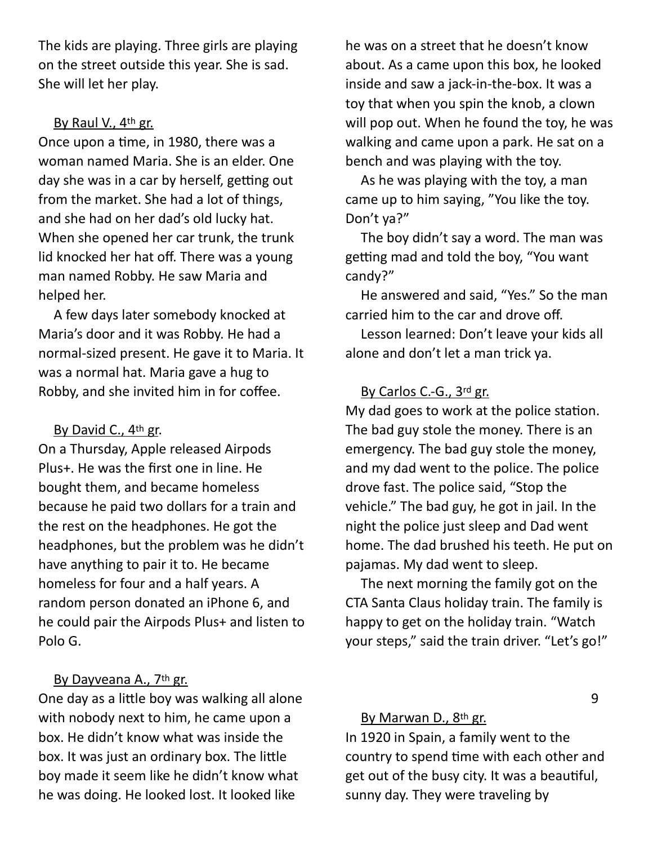The kids are playing. Three girls are playing on the street outside this year. She is sad. She will let her play.

#### By Raul V., 4th gr.

Once upon a time, in 1980, there was a woman named Maria. She is an elder. One day she was in a car by herself, getting out from the market. She had a lot of things, and she had on her dad's old lucky hat. When she opened her car trunk, the trunk lid knocked her hat off. There was a young man named Robby. He saw Maria and helped her.

 A few days later somebody knocked at Maria's door and it was Robby. He had a normal-sized present. He gave it to Maria. It was a normal hat. Maria gave a hug to Robby, and she invited him in for coffee.

## By David C., 4th gr.

On a Thursday, Apple released Airpods Plus+. He was the first one in line. He bought them, and became homeless because he paid two dollars for a train and the rest on the headphones. He got the headphones, but the problem was he didn't have anything to pair it to. He became homeless for four and a half years. A random person donated an iPhone 6, and he could pair the Airpods Plus+ and listen to Polo G.

#### By Dayveana A., 7th gr.

One day as a little boy was walking all alone with nobody next to him, he came upon a box. He didn't know what was inside the box. It was just an ordinary box. The little boy made it seem like he didn't know what he was doing. He looked lost. It looked like

he was on a street that he doesn't know about. As a came upon this box, he looked inside and saw a jack-in-the-box. It was a toy that when you spin the knob, a clown will pop out. When he found the toy, he was walking and came upon a park. He sat on a bench and was playing with the toy.

As he was playing with the toy, a man came up to him saying, "You like the toy. Don't ya?"

The boy didn't say a word. The man was getting mad and told the boy, "You want candy?"

He answered and said, "Yes." So the man carried him to the car and drove off.

 Lesson learned: Don't leave your kids all alone and don't let a man trick ya.

#### By Carlos C.-G., 3rd gr.

My dad goes to work at the police station. The bad guy stole the money. There is an emergency. The bad guy stole the money, and my dad went to the police. The police drove fast. The police said, "Stop the vehicle." The bad guy, he got in jail. In the night the police just sleep and Dad went home. The dad brushed his teeth. He put on pajamas. My dad went to sleep.

The next morning the family got on the CTA Santa Claus holiday train. The family is happy to get on the holiday train. "Watch your steps," said the train driver. "Let's go!"

9

#### By Marwan D., 8th gr.

In 1920 in Spain, a family went to the country to spend time with each other and get out of the busy city. It was a beautiful, sunny day. They were traveling by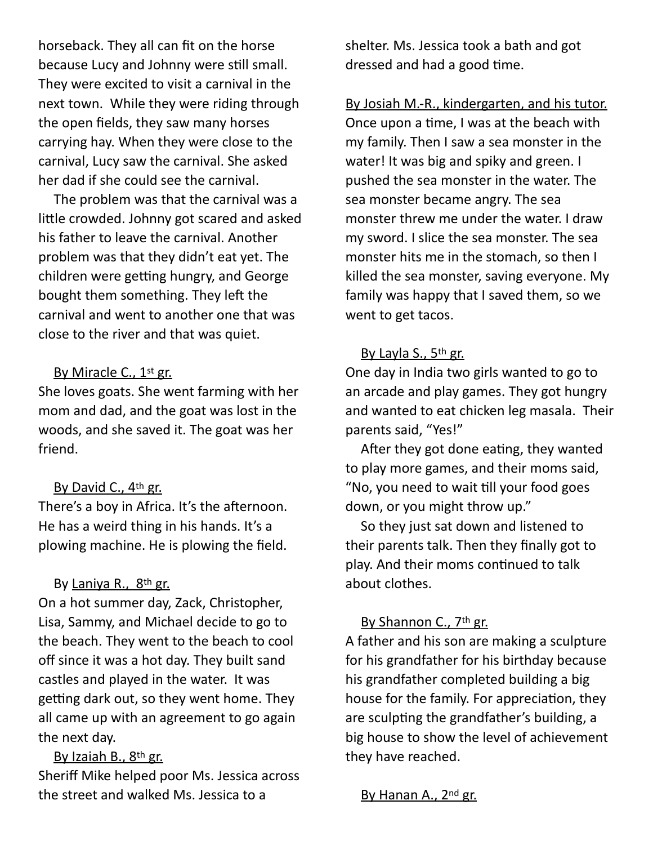horseback. They all can fit on the horse because Lucy and Johnny were still small. They were excited to visit a carnival in the next town. While they were riding through the open fields, they saw many horses carrying hay. When they were close to the carnival, Lucy saw the carnival. She asked her dad if she could see the carnival.

 The problem was that the carnival was a little crowded. Johnny got scared and asked his father to leave the carnival. Another problem was that they didn't eat yet. The children were getting hungry, and George bought them something. They left the carnival and went to another one that was close to the river and that was quiet.

## By Miracle C., 1st gr.

She loves goats. She went farming with her mom and dad, and the goat was lost in the woods, and she saved it. The goat was her friend.

## By David C., 4th gr.

There's a boy in Africa. It's the afternoon. He has a weird thing in his hands. It's a plowing machine. He is plowing the field.

## By Laniya R., 8th gr.

On a hot summer day, Zack, Christopher, Lisa, Sammy, and Michael decide to go to the beach. They went to the beach to cool off since it was a hot day. They built sand castles and played in the water. It was getting dark out, so they went home. They all came up with an agreement to go again the next day.

## By Izaiah B., 8th gr.

Sheriff Mike helped poor Ms. Jessica across the street and walked Ms. Jessica to a

shelter. Ms. Jessica took a bath and got dressed and had a good time.

By Josiah M.-R., kindergarten, and his tutor. Once upon a time, I was at the beach with my family. Then I saw a sea monster in the water! It was big and spiky and green. I pushed the sea monster in the water. The sea monster became angry. The sea monster threw me under the water. I draw my sword. I slice the sea monster. The sea monster hits me in the stomach, so then I killed the sea monster, saving everyone. My family was happy that I saved them, so we went to get tacos.

## By Layla S., 5th gr.

One day in India two girls wanted to go to an arcade and play games. They got hungry and wanted to eat chicken leg masala. Their parents said, "Yes!"

After they got done eating, they wanted to play more games, and their moms said, "No, you need to wait till your food goes down, or you might throw up."

So they just sat down and listened to their parents talk. Then they finally got to play. And their moms continued to talk about clothes.

## By Shannon C., 7th gr.

A father and his son are making a sculpture for his grandfather for his birthday because his grandfather completed building a big house for the family. For appreciation, they are sculpting the grandfather's building, a big house to show the level of achievement they have reached.

By Hanan A., 2nd gr.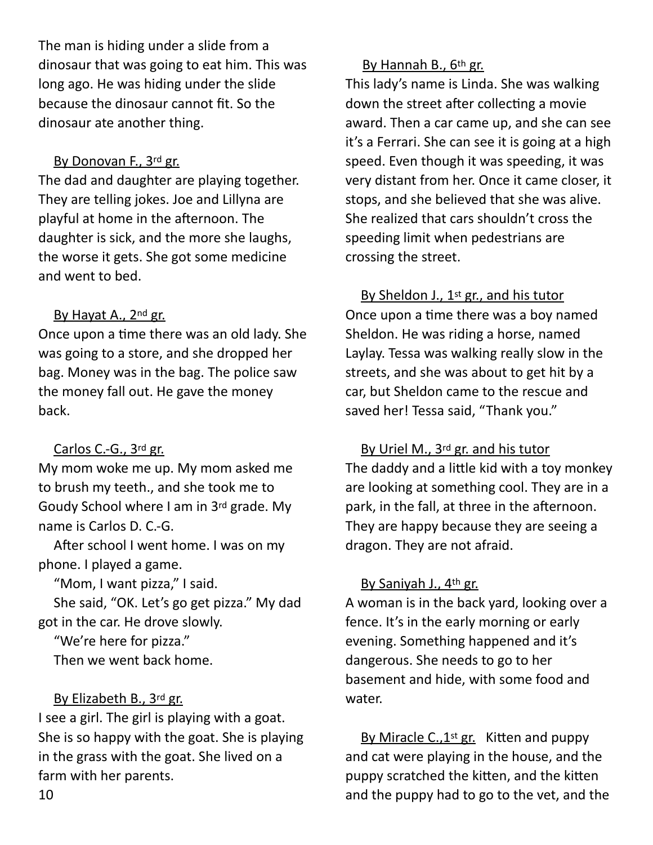The man is hiding under a slide from a dinosaur that was going to eat him. This was long ago. He was hiding under the slide because the dinosaur cannot fit. So the dinosaur ate another thing.

## By Donovan F., 3rd gr.

The dad and daughter are playing together. They are telling jokes. Joe and Lillyna are playful at home in the afternoon. The daughter is sick, and the more she laughs, the worse it gets. She got some medicine and went to bed.

# By Hayat A., 2nd gr.

Once upon a time there was an old lady. She was going to a store, and she dropped her bag. Money was in the bag. The police saw the money fall out. He gave the money back.

# Carlos C.-G., 3rd gr.

My mom woke me up. My mom asked me to brush my teeth., and she took me to Goudy School where I am in 3rd grade. My name is Carlos D. C.-G.

After school I went home. I was on my phone. I played a game.

"Mom, I want pizza," I said.

She said, "OK. Let's go get pizza." My dad got in the car. He drove slowly.

"We're here for pizza."

Then we went back home.

# By Elizabeth B., 3rd gr.

I see a girl. The girl is playing with a goat. She is so happy with the goat. She is playing in the grass with the goat. She lived on a farm with her parents.

By Hannah B., 6th gr.

This lady's name is Linda. She was walking down the street after collecting a movie award. Then a car came up, and she can see it's a Ferrari. She can see it is going at a high speed. Even though it was speeding, it was very distant from her. Once it came closer, it stops, and she believed that she was alive. She realized that cars shouldn't cross the speeding limit when pedestrians are crossing the street.

By Sheldon J., 1st gr., and his tutor Once upon a time there was a boy named Sheldon. He was riding a horse, named Laylay. Tessa was walking really slow in the streets, and she was about to get hit by a car, but Sheldon came to the rescue and saved her! Tessa said, "Thank you."

By Uriel M., 3rd gr. and his tutor

The daddy and a little kid with a toy monkey are looking at something cool. They are in a park, in the fall, at three in the afternoon. They are happy because they are seeing a dragon. They are not afraid.

# By Saniyah J., 4th gr.

A woman is in the back yard, looking over a fence. It's in the early morning or early evening. Something happened and it's dangerous. She needs to go to her basement and hide, with some food and water.

By Miracle C., 1st gr. Kitten and puppy and cat were playing in the house, and the puppy scratched the kitten, and the kitten and the puppy had to go to the vet, and the